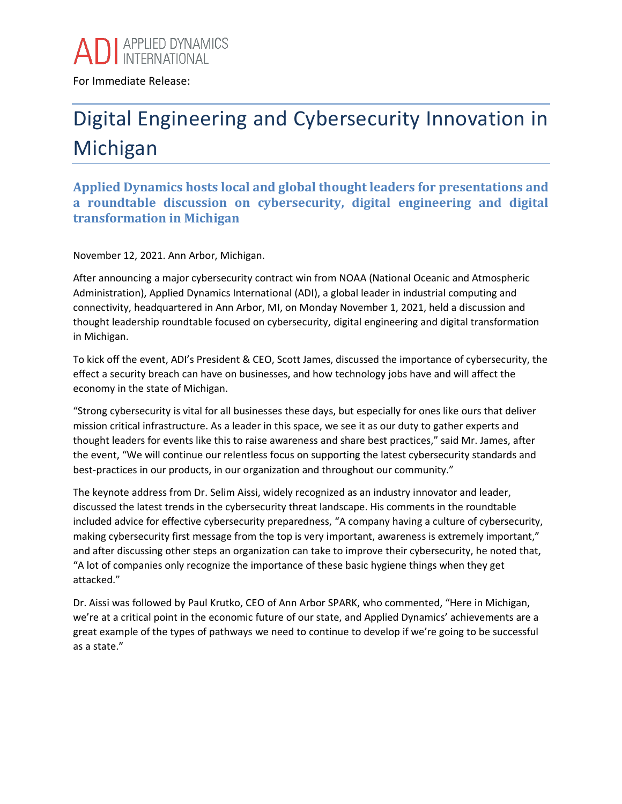

For Immediate Release:

## Digital Engineering and Cybersecurity Innovation in Michigan

**Applied Dynamics hosts local and global thought leaders for presentations and a roundtable discussion on cybersecurity, digital engineering and digital transformation in Michigan**

November 12, 2021. Ann Arbor, Michigan.

After announcing a major cybersecurity contract win from NOAA (National Oceanic and Atmospheric Administration), Applied Dynamics International (ADI), a global leader in industrial computing and connectivity, headquartered in Ann Arbor, MI, on Monday November 1, 2021, held a discussion and thought leadership roundtable focused on cybersecurity, digital engineering and digital transformation in Michigan.

To kick off the event, ADI's President & CEO, Scott James, discussed the importance of cybersecurity, the effect a security breach can have on businesses, and how technology jobs have and will affect the economy in the state of Michigan.

"Strong cybersecurity is vital for all businesses these days, but especially for ones like ours that deliver mission critical infrastructure. As a leader in this space, we see it as our duty to gather experts and thought leaders for events like this to raise awareness and share best practices," said Mr. James, after the event, "We will continue our relentless focus on supporting the latest cybersecurity standards and best-practices in our products, in our organization and throughout our community."

The keynote address from Dr. Selim Aissi, widely recognized as an industry innovator and leader, discussed the latest trends in the cybersecurity threat landscape. His comments in the roundtable included advice for effective cybersecurity preparedness, "A company having a culture of cybersecurity, making cybersecurity first message from the top is very important, awareness is extremely important," and after discussing other steps an organization can take to improve their cybersecurity, he noted that, "A lot of companies only recognize the importance of these basic hygiene things when they get attacked."

Dr. Aissi was followed by Paul Krutko, CEO of Ann Arbor SPARK, who commented, "Here in Michigan, we're at a critical point in the economic future of our state, and Applied Dynamics' achievements are a great example of the types of pathways we need to continue to develop if we're going to be successful as a state."